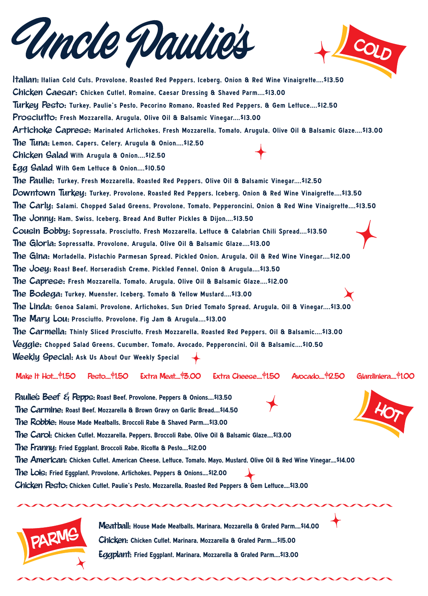Italian: Italian Cold Cuts, Provolone, Roasted Red Peppers, Iceberg, Onion & Red Wine Vinaigrette....\$13.50

Chicken Caesar: Chicken Cutlet, Romaine, Caesar Dressing & Shaved Parm....\$13.00

Turkey Pesto: Turkey, Paulie's Pesto, Pecorino Romano, Roasted Red Peppers, & Gem Lettuce....\$12.50

Prosciutto: Fresh Mozzarella, Arugula, Olive Oil & Balsamic Vinegar....\$13.00

Artichoke Caprese: Marinated Artichokes, Fresh Mozzarella, Tomato, Arugula, Olive Oil & Balsamic Glaze....\$13.00

The Tuna: Lemon, Capers, Celery, Arugula & Onion....\$12.50

Chicken Salad With Arugula & Onion....\$12.50

Egg Salad With Gem Lettuce & Onion....\$10.50

The Paulie: Turkey, Fresh Mozzarella, Roasted Red Peppers, Olive Oil & Balsamic Vinegar....\$12.50

Downtown Turkey: Turkey, Provolone, Roasted Red Peppers, Iceberg, Onion & Red Wine Vinaigrette....\$13.50

The Carly: Salami. Chopped Salad Greens, Provolone, Tomato, Pepperoncini, Onion & Red Wine Vinaigrette....\$13.50

e Jonny: Ham, Swiss, Iceberg, Bread And Butter Pickles & Dijon....\$13.50

Cousin Bobby: Sopressata, Prosciutto, Fresh Mozzarella, Lettuce & Calabrian Chili Spread....\$13.50

The Gloria: Sopressatta, Provolone, Arugula, Olive Oil & Balsamic Glaze....\$13.00

The Gina: Mortadella, Pistachio Parmesan Spread, Pickled Onion, Arugula, Oil & Red Wine Vinegar....\$12.00

The Joey: Roast Beef, Horseradish Creme, Pickled Fennel, Onion & Arugula....\$13.50

The Caprese: Fresh Mozzarella, Tomato, Arugula, Olive Oil & Balsamic Glaze....\$12.00

e Bodega: Turkey, Muenster, Iceberg, Tomato & Yellow Mustard....\$13.00

The Linda: Genoa Salami, Provolone, Artichokes, Sun Dried Tomato Spread, Arugula, Oil & Vinegar....\$13.00

The Mary Lou: Prosciutto, Provolone, Fig Jam & Arugula....\$13.00

The Carmella: Thinly Sliced Prosciutto, Fresh Mozzarella, Roasted Red Peppers, Oil & Balsamic....\$13.00 Veggie: Chopped Salad Greens, Cucumber, Tomato, Avocado, Pepperoncini, Oil & Balsamic....\$10.50 Weekly Special: Ask Us About Our Weekly Special



![](_page_0_Picture_1.jpeg)

Make It Hot....\$1.50 Pesto....\$1.50 Extra Meat....\$3.00 Extra Cheese....\$1.50 Avocado....\$2.50 Giardiniera....\$1.00

Paulie's Beef & Pepps: Roast Beef, Provolone, Peppers & Onions....\$13.50

The Carmine: Roast Beef, Mozzarella & Brown Gravy on Garlic Bread....\$14.50

![](_page_0_Picture_32.jpeg)

![](_page_0_Picture_35.jpeg)

Meatball: House Made Meatballs, Marinara, Mozzarella & Grated Parm....\$14.00

e Robbie: House Made Meatballs, Broccoli Rabe & Shaved Parm....\$13.00

e Carol: Chicken Cutlet, Mozzarella, Peppers, Broccoli Rabe, Olive Oil & Balsamic Glaze....\$13.00

e Franny: Fried Eggplant, Broccoli Rabe, Ricotta & Pesto....\$12.00

The American: Chicken Cutlet, American Cheese, Lettuce, Tomato, Mayo, Mustard, Olive Oil & Red Wine Vinegar....\$14.00

The Lois: Fried Eggplant, Provolone, Artichokes, Peppers & Onions....\$12.00

Chicken Pesto: Chicken Cutlet, Paulie's Pesto, Mozzarella, Roasted Red Peppers & Gem Lettuce....\$13.00

Chicken: Chicken Cutlet, Marinara, Mozzarella & Grated Parm....\$15.00

Eggplant: Fried Eggplant, Marinara, Mozzarella & Grated Parm....\$13.00